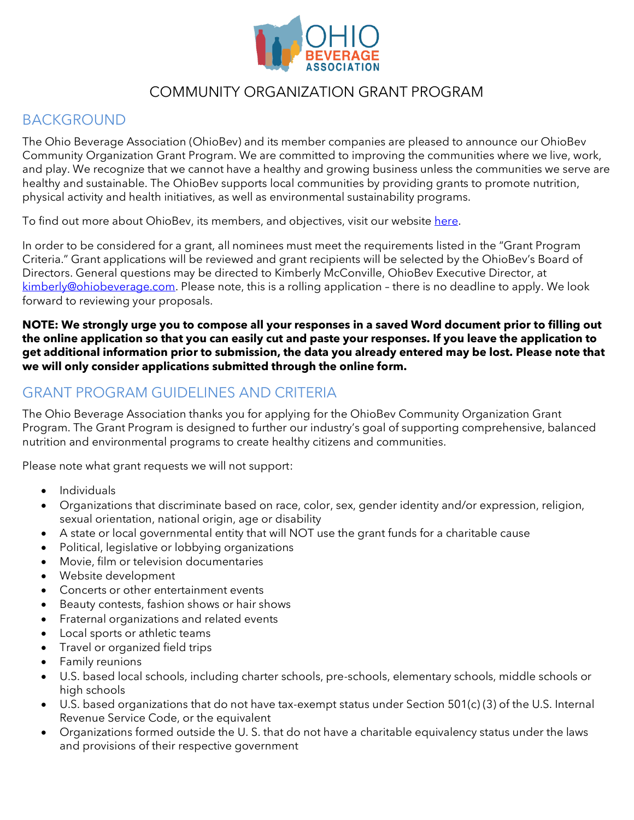

# COMMUNITY ORGANIZATION GRANT PROGRAM

# BACKGROUND

The Ohio Beverage Association (OhioBev) and its member companies are pleased to announce our OhioBev Community Organization Grant Program. We are committed to improving the communities where we live, work, and play. We recognize that we cannot have a healthy and growing business unless the communities we serve are healthy and sustainable. The OhioBev supports local communities by providing grants to promote nutrition, physical activity and health initiatives, as well as environmental sustainability programs.

To find out more about OhioBev, its members, and objectives, visit our websit[e here.](http://www.ohiobeverage.com/)

In order to be considered for a grant, all nominees must meet the requirements listed in the "Grant Program Criteria." Grant applications will be reviewed and grant recipients will be selected by the OhioBev's Board of Directors. General questions may be directed to Kimberly McConville, OhioBev Executive Director, at [kimberly@ohiobeverage.com.](mailto:kimberly@ohiobeverage.com) Please note, this is a rolling application – there is no deadline to apply. We look forward to reviewing your proposals.

**NOTE: We strongly urge you to compose all your responses in a saved Word document prior to filling out the online application so that you can easily cut and paste your responses. If you leave the application to get additional information prior to submission, the data you already entered may be lost. Please note that we will only consider applications submitted through the online form.** 

# GRANT PROGRAM GUIDELINES AND CRITERIA

The Ohio Beverage Association thanks you for applying for the OhioBev Community Organization Grant Program. The Grant Program is designed to further our industry's goal of supporting comprehensive, balanced nutrition and environmental programs to create healthy citizens and communities.

Please note what grant requests we will not support:

- Individuals
- Organizations that discriminate based on race, color, sex, gender identity and/or expression, religion, sexual orientation, national origin, age or disability
- A state or local governmental entity that will NOT use the grant funds for a charitable cause
- Political, legislative or lobbying organizations
- Movie, film or television documentaries
- Website development
- Concerts or other entertainment events
- Beauty contests, fashion shows or hair shows
- Fraternal organizations and related events
- Local sports or athletic teams
- Travel or organized field trips
- Family reunions
- U.S. based local schools, including charter schools, pre-schools, elementary schools, middle schools or high schools
- U.S. based organizations that do not have tax-exempt status under Section 501(c) (3) of the U.S. Internal Revenue Service Code, or the equivalent
- Organizations formed outside the U. S. that do not have a charitable equivalency status under the laws and provisions of their respective government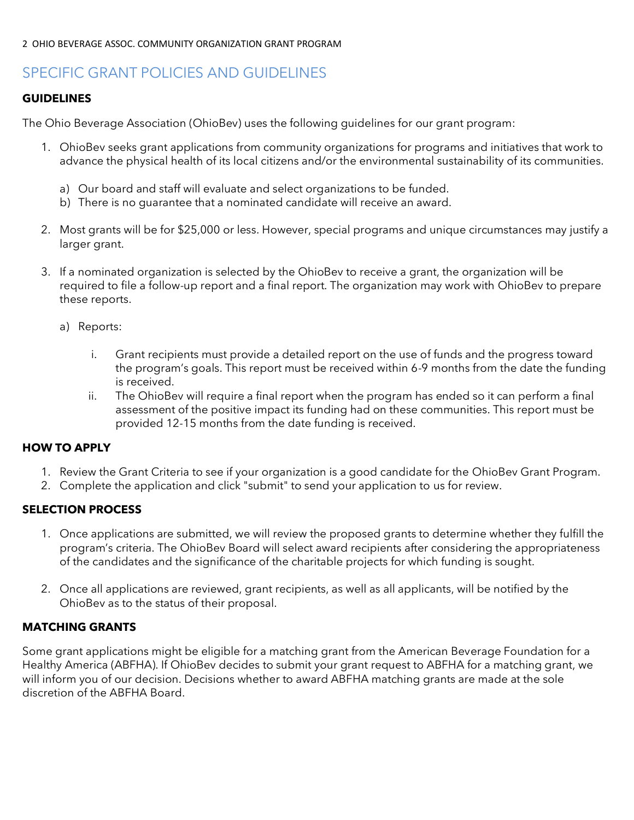# SPECIFIC GRANT POLICIES AND GUIDELINES

### **GUIDELINES**

The Ohio Beverage Association (OhioBev) uses the following guidelines for our grant program:

- 1. OhioBev seeks grant applications from community organizations for programs and initiatives that work to advance the physical health of its local citizens and/or the environmental sustainability of its communities.
	- a) Our board and staff will evaluate and select organizations to be funded.
	- b) There is no guarantee that a nominated candidate will receive an award.
- 2. Most grants will be for \$25,000 or less. However, special programs and unique circumstances may justify a larger grant.
- 3. If a nominated organization is selected by the OhioBev to receive a grant, the organization will be required to file a follow-up report and a final report. The organization may work with OhioBev to prepare these reports.
	- a) Reports:
		- i. Grant recipients must provide a detailed report on the use of funds and the progress toward the program's goals. This report must be received within 6-9 months from the date the funding is received.
		- ii. The OhioBev will require a final report when the program has ended so it can perform a final assessment of the positive impact its funding had on these communities. This report must be provided 12-15 months from the date funding is received.

### **HOW TO APPLY**

- 1. Review the Grant Criteria to see if your organization is a good candidate for the OhioBev Grant Program.
- 2. Complete the application and click "submit" to send your application to us for review.

#### **SELECTION PROCESS**

- 1. Once applications are submitted, we will review the proposed grants to determine whether they fulfill the program's criteria. The OhioBev Board will select award recipients after considering the appropriateness of the candidates and the significance of the charitable projects for which funding is sought.
- 2. Once all applications are reviewed, grant recipients, as well as all applicants, will be notified by the OhioBev as to the status of their proposal.

### **MATCHING GRANTS**

Some grant applications might be eligible for a matching grant from the American Beverage Foundation for a Healthy America (ABFHA). If OhioBev decides to submit your grant request to ABFHA for a matching grant, we will inform you of our decision. Decisions whether to award ABFHA matching grants are made at the sole discretion of the ABFHA Board.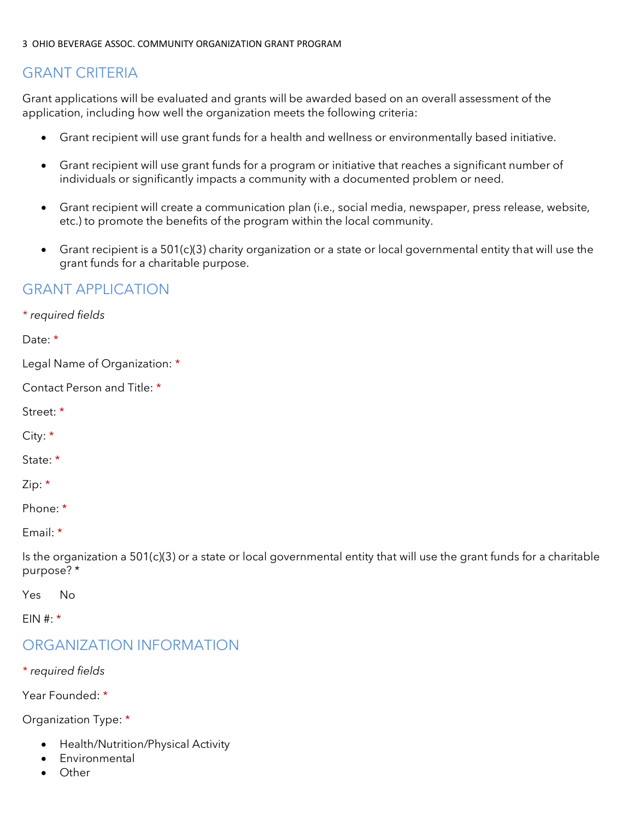## GRANT CRITERIA

Grant applications will be evaluated and grants will be awarded based on an overall assessment of the application, including how well the organization meets the following criteria:

- Grant recipient will use grant funds for a health and wellness or environmentally based initiative.
- Grant recipient will use grant funds for a program or initiative that reaches a significant number of individuals or significantly impacts a community with a documented problem or need.
- Grant recipient will create a communication plan (i.e., social media, newspaper, press release, website, etc.) to promote the benefits of the program within the local community.
- Grant recipient is a 501(c)(3) charity organization or a state or local governmental entity that will use the grant funds for a charitable purpose.

### GRANT APPLICATION

*\* required fields* Date: \* Legal Name of Organization: \* Contact Person and Title: \* Street: \* City: \* State: \* Zip: \* Phone: \* Email: \* Is the organization a 501(c)(3) or a state or local governmental entity that will use the grant funds for a charitable purpose? \*

Yes No

FIN #:  $*$ 

## ORGANIZATION INFORMATION

*\* required fields*

Year Founded: \*

Organization Type: \*

- Health/Nutrition/Physical Activity
- Environmental
- Other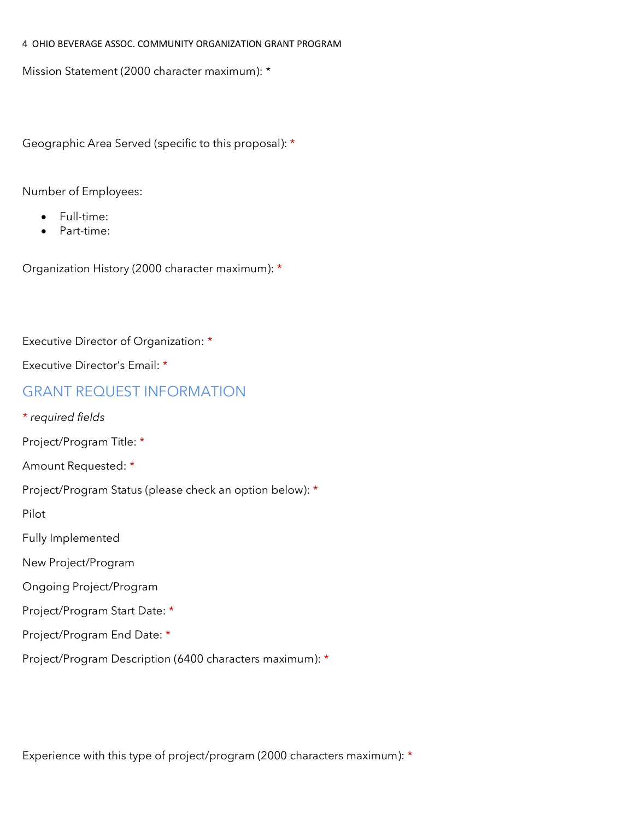Mission Statement (2000 character maximum): \*

Geographic Area Served (specific to this proposal): \*

Number of Employees:

- Full-time:
- Part-time:

Organization History (2000 character maximum): \*

Executive Director of Organization: \*

Executive Director's Email: \*

### GRANT REQUEST INFORMATION

*\* required fields*

Project/Program Title: \*

Amount Requested: \*

Project/Program Status (please check an option below): \*

Pilot

Fully Implemented

New Project/Program

Ongoing Project/Program

Project/Program Start Date: \*

Project/Program End Date: \*

Project/Program Description (6400 characters maximum): \*

Experience with this type of project/program (2000 characters maximum): \*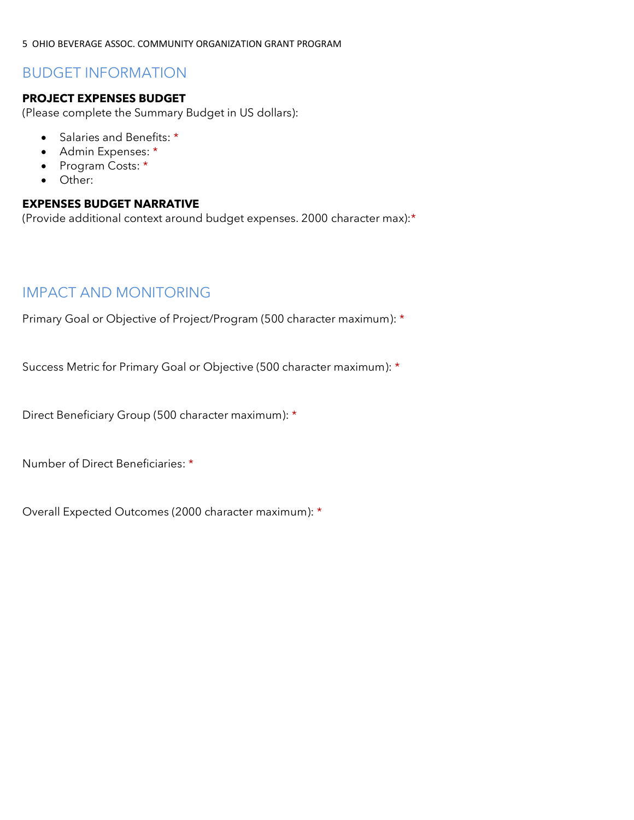## BUDGET INFORMATION

### **PROJECT EXPENSES BUDGET**

(Please complete the Summary Budget in US dollars):

- Salaries and Benefits: \*
- Admin Expenses: \*
- Program Costs: \*
- Other:

#### **EXPENSES BUDGET NARRATIVE**

(Provide additional context around budget expenses. 2000 character max):\*

## IMPACT AND MONITORING

Primary Goal or Objective of Project/Program (500 character maximum): \*

Success Metric for Primary Goal or Objective (500 character maximum): \*

Direct Beneficiary Group (500 character maximum): \*

Number of Direct Beneficiaries: \*

Overall Expected Outcomes (2000 character maximum): \*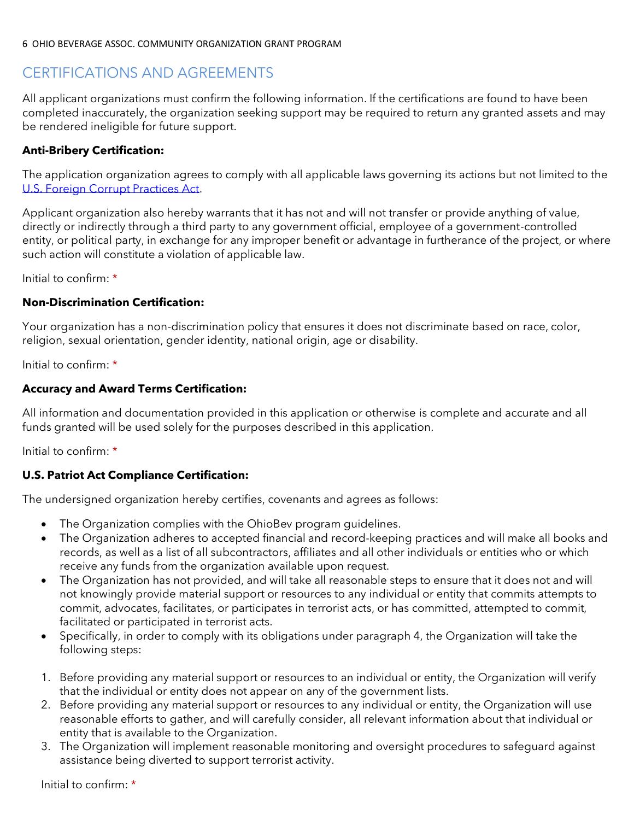# CERTIFICATIONS AND AGREEMENTS

All applicant organizations must confirm the following information. If the certifications are found to have been completed inaccurately, the organization seeking support may be required to return any granted assets and may be rendered ineligible for future support.

### **Anti-Bribery Certification:**

The application organization agrees to comply with all applicable laws governing its actions but not limited to the [U.S. Foreign Corrupt Practices Act.](http://www.justice.gov/criminal/fraud/fcpa/)

Applicant organization also hereby warrants that it has not and will not transfer or provide anything of value, directly or indirectly through a third party to any government official, employee of a government-controlled entity, or political party, in exchange for any improper benefit or advantage in furtherance of the project, or where such action will constitute a violation of applicable law.

Initial to confirm: \*

### **Non-Discrimination Certification:**

Your organization has a non-discrimination policy that ensures it does not discriminate based on race, color, religion, sexual orientation, gender identity, national origin, age or disability.

Initial to confirm: \*

### **Accuracy and Award Terms Certification:**

All information and documentation provided in this application or otherwise is complete and accurate and all funds granted will be used solely for the purposes described in this application.

Initial to confirm: \*

### **U.S. Patriot Act Compliance Certification:**

The undersigned organization hereby certifies, covenants and agrees as follows:

- The Organization complies with the OhioBev program guidelines.
- The Organization adheres to accepted financial and record-keeping practices and will make all books and records, as well as a list of all subcontractors, affiliates and all other individuals or entities who or which receive any funds from the organization available upon request.
- The Organization has not provided, and will take all reasonable steps to ensure that it does not and will not knowingly provide material support or resources to any individual or entity that commits attempts to commit, advocates, facilitates, or participates in terrorist acts, or has committed, attempted to commit, facilitated or participated in terrorist acts.
- Specifically, in order to comply with its obligations under paragraph 4, the Organization will take the following steps:
- 1. Before providing any material support or resources to an individual or entity, the Organization will verify that the individual or entity does not appear on any of the government lists.
- 2. Before providing any material support or resources to any individual or entity, the Organization will use reasonable efforts to gather, and will carefully consider, all relevant information about that individual or entity that is available to the Organization.
- 3. The Organization will implement reasonable monitoring and oversight procedures to safeguard against assistance being diverted to support terrorist activity.

Initial to confirm: \*